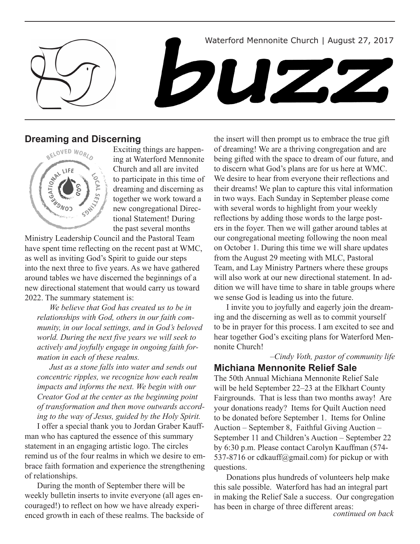Waterford Mennonite Church | August 27, 2017





# **Dreaming and Discerning**



Exciting things are happening at Waterford Mennonite Church and all are invited to participate in this time of dreaming and discerning as together we work toward a new congregational Directional Statement! During the past several months

Ministry Leadership Council and the Pastoral Team have spent time reflecting on the recent past at WMC, as well as inviting God's Spirit to guide our steps into the next three to five years. As we have gathered around tables we have discerned the beginnings of a new directional statement that would carry us toward 2022. The summary statement is:

*We believe that God has created us to be in relationships with God, others in our faith community, in our local settings, and in God's beloved world. During the next five years we will seek to actively and joyfully engage in ongoing faith formation in each of these realms.* 

*Just as a stone falls into water and sends out concentric ripples, we recognize how each realm impacts and informs the next. We begin with our Creator God at the center as the beginning point of transformation and then move outwards according to the way of Jesus, guided by the Holy Spirit.* 

I offer a special thank you to Jordan Graber Kauffman who has captured the essence of this summary statement in an engaging artistic logo. The circles remind us of the four realms in which we desire to embrace faith formation and experience the strengthening of relationships.

During the month of September there will be weekly bulletin inserts to invite everyone (all ages encouraged!) to reflect on how we have already experienced growth in each of these realms. The backside of

the insert will then prompt us to embrace the true gift of dreaming! We are a thriving congregation and are being gifted with the space to dream of our future, and to discern what God's plans are for us here at WMC. We desire to hear from everyone their reflections and their dreams! We plan to capture this vital information in two ways. Each Sunday in September please come with several words to highlight from your weekly reflections by adding those words to the large posters in the foyer. Then we will gather around tables at our congregational meeting following the noon meal on October 1. During this time we will share updates from the August 29 meeting with MLC, Pastoral Team, and Lay Ministry Partners where these groups will also work at our new directional statement. In addition we will have time to share in table groups where we sense God is leading us into the future.

I invite you to joyfully and eagerly join the dreaming and the discerning as well as to commit yourself to be in prayer for this process. I am excited to see and hear together God's exciting plans for Waterford Mennonite Church!

*–Cindy Voth, pastor of community life*

# **Michiana Mennonite Relief Sale**

The 50th Annual Michiana Mennonite Relief Sale will be held September 22–23 at the Elkhart County Fairgrounds. That is less than two months away! Are your donations ready? Items for Quilt Auction need to be donated before September 1. Items for Online Auction – September 8, Faithful Giving Auction – September 11 and Children's Auction – September 22 by 6:30 p.m. Please contact Carolyn Kauffman (574- 537-8716 or cdkauff@gmail.com) for pickup or with questions.

Donations plus hundreds of volunteers help make this sale possible. Waterford has had an integral part in making the Relief Sale a success. Our congregation has been in charge of three different areas: *continued on back*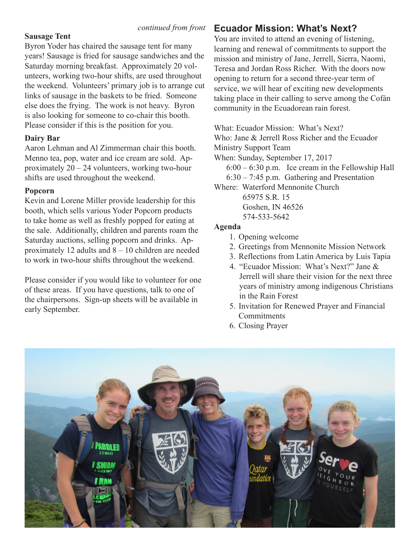### **Sausage Tent**

Byron Yoder has chaired the sausage tent for many years! Sausage is fried for sausage sandwiches and the Saturday morning breakfast. Approximately 20 volunteers, working two-hour shifts, are used throughout the weekend. Volunteers' primary job is to arrange cut links of sausage in the baskets to be fried. Someone else does the frying. The work is not heavy. Byron is also looking for someone to co-chair this booth. Please consider if this is the position for you.

### **Dairy Bar**

Aaron Lehman and Al Zimmerman chair this booth. Menno tea, pop, water and ice cream are sold. Approximately 20 – 24 volunteers, working two-hour shifts are used throughout the weekend.

### **Popcorn**

Kevin and Lorene Miller provide leadership for this booth, which sells various Yoder Popcorn products to take home as well as freshly popped for eating at the sale. Additionally, children and parents roam the Saturday auctions, selling popcorn and drinks. Approximately 12 adults and 8 – 10 children are needed to work in two-hour shifts throughout the weekend.

Please consider if you would like to volunteer for one of these areas. If you have questions, talk to one of the chairpersons. Sign-up sheets will be available in early September.

# *continued from front* **Ecuador Mission: What's Next?**

You are invited to attend an evening of listening, learning and renewal of commitments to support the mission and ministry of Jane, Jerrell, Sierra, Naomi, Teresa and Jordan Ross Richer. With the doors now opening to return for a second three-year term of service, we will hear of exciting new developments taking place in their calling to serve among the Cofán community in the Ecuadorean rain forest.

What: Ecuador Mission: What's Next?

Who: Jane & Jerrell Ross Richer and the Ecuador Ministry Support Team

When: Sunday, September 17, 2017

6:00 – 6:30 p.m. Ice cream in the Fellowship Hall 6:30 – 7:45 p.m. Gathering and Presentation

Where: Waterford Mennonite Church

 65975 S.R. 15 Goshen, IN 46526 574-533-5642

### **Agenda**

- 1. Opening welcome
- 2. Greetings from Mennonite Mission Network
- 3. Reflections from Latin America by Luis Tapia
- 4. "Ecuador Mission: What's Next?" Jane & Jerrell will share their vision for the next three years of ministry among indigenous Christians in the Rain Forest
- 5. Invitation for Renewed Prayer and Financial **Commitments**
- 6. Closing Prayer

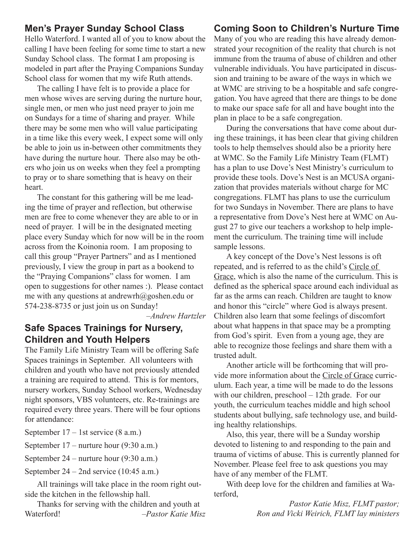# **Men's Prayer Sunday School Class**

Hello Waterford. I wanted all of you to know about the calling I have been feeling for some time to start a new Sunday School class. The format I am proposing is modeled in part after the Praying Companions Sunday School class for women that my wife Ruth attends.

The calling I have felt is to provide a place for men whose wives are serving during the nurture hour, single men, or men who just need prayer to join me on Sundays for a time of sharing and prayer. While there may be some men who will value participating in a time like this every week, I expect some will only be able to join us in-between other commitments they have during the nurture hour. There also may be others who join us on weeks when they feel a prompting to pray or to share something that is heavy on their heart.

The constant for this gathering will be me leading the time of prayer and reflection, but otherwise men are free to come whenever they are able to or in need of prayer. I will be in the designated meeting place every Sunday which for now will be in the room across from the Koinonia room. I am proposing to call this group "Prayer Partners" and as I mentioned previously, I view the group in part as a bookend to the "Praying Companions" class for women. I am open to suggestions for other names :). Please contact me with any questions at andrewrh@goshen.edu or 574-238-8735 or just join us on Sunday!

*–Andrew Hartzler*

### **Safe Spaces Trainings for Nursery, Children and Youth Helpers**

The Family Life Ministry Team will be offering Safe Spaces trainings in September. All volunteers with children and youth who have not previously attended a training are required to attend. This is for mentors, nursery workers, Sunday School workers, Wednesday night sponsors, VBS volunteers, etc. Re-trainings are required every three years. There will be four options for attendance:

September 17 – 1st service (8 a.m.)

September 17 – nurture hour (9:30 a.m.)

September 24 – nurture hour (9:30 a.m.)

September 24 – 2nd service (10:45 a.m.)

All trainings will take place in the room right outside the kitchen in the fellowship hall.

Thanks for serving with the children and youth at Waterford! *–Pastor Katie Misz*

# **Coming Soon to Children's Nurture Time**

Many of you who are reading this have already demonstrated your recognition of the reality that church is not immune from the trauma of abuse of children and other vulnerable individuals. You have participated in discussion and training to be aware of the ways in which we at WMC are striving to be a hospitable and safe congregation. You have agreed that there are things to be done to make our space safe for all and have bought into the plan in place to be a safe congregation.

During the conversations that have come about during these trainings, it has been clear that giving children tools to help themselves should also be a priority here at WMC. So the Family Life Ministry Team (FLMT) has a plan to use Dove's Nest Ministry's curriculum to provide these tools. Dove's Nest is an MCUSA organization that provides materials without charge for MC congregations. FLMT has plans to use the curriculum for two Sundays in November. There are plans to have a representative from Dove's Nest here at WMC on August 27 to give our teachers a workshop to help implement the curriculum. The training time will include sample lessons.

A key concept of the Dove's Nest lessons is oft repeated, and is referred to as the child's Circle of Grace, which is also the name of the curriculum. This is defined as the spherical space around each individual as far as the arms can reach. Children are taught to know and honor this "circle" where God is always present. Children also learn that some feelings of discomfort about what happens in that space may be a prompting from God's spirit. Even from a young age, they are able to recognize those feelings and share them with a trusted adult.

Another article will be forthcoming that will provide more information about the Circle of Grace curriculum. Each year, a time will be made to do the lessons with our children, preschool – 12th grade. For our youth, the curriculum teaches middle and high school students about bullying, safe technology use, and building healthy relationships.

Also, this year, there will be a Sunday worship devoted to listening to and responding to the pain and trauma of victims of abuse. This is currently planned for November. Please feel free to ask questions you may have of any member of the FLMT.

With deep love for the children and families at Waterford,

> *Pastor Katie Misz, FLMT pastor; Ron and Vicki Weirich, FLMT lay ministers*